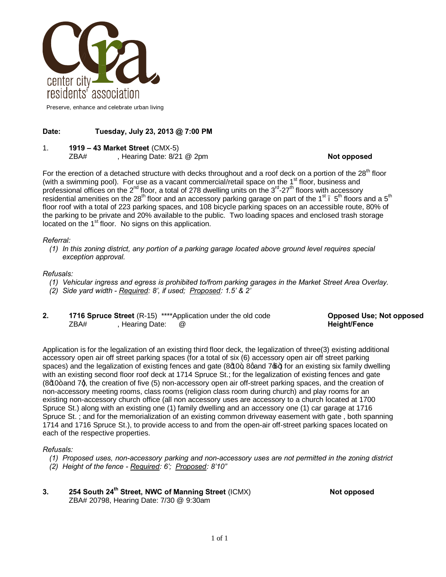

Preserve, enhance and celebrate urban living

# **Date: Tuesday, July 23, 2013 @ 7:00 PM**

1. **1919 – 43 Market Street** (CMX-5)

ZBA# , Hearing Date: 8/21 @ 2pm **Not opposed Not opposed** 

For the erection of a detached structure with decks throughout and a roof deck on a portion of the 28<sup>th</sup> floor (with a swimming pool). For use as a vacant commercial/retail space on the  $1<sup>st</sup>$  floor, business and professional offices on the  $2^{nd}$  floor, a total of 278 dwelling units on the  $3^{rd}$ -27<sup>th</sup> floors with accessory residential amenities on the 28<sup>th</sup> floor and an accessory parking garage on part of the 1<sup>st</sup>.  $5^{th}$  floors and a  $5^{th}$ floor roof with a total of 223 parking spaces, and 108 bicycle parking spaces on an accessible route, 80% of the parking to be private and 20% available to the public. Two loading spaces and enclosed trash storage located on the  $1<sup>st</sup>$  floor. No signs on this application.

## *Referral:*

*(1) In this zoning district, any portion of a parking garage located above ground level requires special exception approval.*

## *Refusals:*

- *(1) Vehicular ingress and egress is prohibited to/from parking garages in the Market Street Area Overlay.*
- *(2) Side yard width - Required: 8', if used; Proposed: 1.5' & 2'*
- **2. 1716 Spruce Street** (R-15) \*\*\*\*Application under the old code **Opposed Use; Not opposed**<br>ZBA#, Rearing Date: @ , Hearing Date: @

Application is for the legalization of an existing third floor deck, the legalization of three(3) existing additional accessory open air off street parking spaces (for a total of six (6) accessory open air off street parking spaces) and the legalization of existing fences and gate  $(8d0+)$ , 8gand 7 $\bigcirc$ + for an existing six family dwelling with an existing second floor roof deck at 1714 Spruce St.; for the legalization of existing fences and gate (8d0+ and 7q, the creation of five (5) non-accessory open air off-street parking spaces, and the creation of non-accessory meeting rooms, class rooms (religion class room during church) and play rooms for an existing non-accessory church office (all non accessory uses are accessory to a church located at 1700 Spruce St.) along with an existing one (1) family dwelling and an accessory one (1) car garage at 1716 Spruce St. ; and for the memorialization of an existing common driveway easement with gate , both spanning 1714 and 1716 Spruce St.), to provide access to and from the open-air off-street parking spaces located on each of the respective properties.

## *Refusals:*

- *(1) Proposed uses, non-accessory parking and non-accessory uses are not permitted in the zoning district*
- *(2) Height of the fence - Required: 6'; Proposed: 8'10"*
- **254** South 24<sup>th</sup> Street, NWC of Manning Street (ICMX) Note opposed ZBA# 20798, Hearing Date: 7/30 @ 9:30am